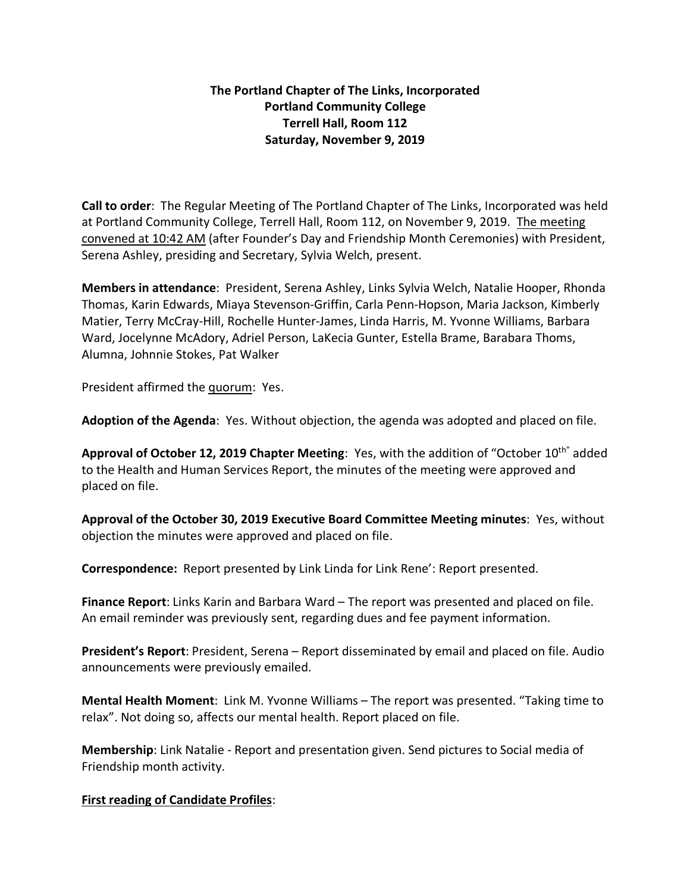## **The Portland Chapter of The Links, Incorporated Portland Community College Terrell Hall, Room 112 Saturday, November 9, 2019**

**Call to order**: The Regular Meeting of The Portland Chapter of The Links, Incorporated was held at Portland Community College, Terrell Hall, Room 112, on November 9, 2019. The meeting convened at 10:42 AM (after Founder's Day and Friendship Month Ceremonies) with President, Serena Ashley, presiding and Secretary, Sylvia Welch, present.

**Members in attendance**: President, Serena Ashley, Links Sylvia Welch, Natalie Hooper, Rhonda Thomas, Karin Edwards, Miaya Stevenson-Griffin, Carla Penn-Hopson, Maria Jackson, Kimberly Matier, Terry McCray-Hill, Rochelle Hunter-James, Linda Harris, M. Yvonne Williams, Barbara Ward, Jocelynne McAdory, Adriel Person, LaKecia Gunter, Estella Brame, Barabara Thoms, Alumna, Johnnie Stokes, Pat Walker

President affirmed the quorum: Yes.

**Adoption of the Agenda**: Yes. Without objection, the agenda was adopted and placed on file.

**Approval of October 12, 2019 Chapter Meeting**: Yes, with the addition of "October 10th" added to the Health and Human Services Report, the minutes of the meeting were approved and placed on file.

**Approval of the October 30, 2019 Executive Board Committee Meeting minutes**: Yes, without objection the minutes were approved and placed on file.

**Correspondence:** Report presented by Link Linda for Link Rene': Report presented.

**Finance Report**: Links Karin and Barbara Ward – The report was presented and placed on file. An email reminder was previously sent, regarding dues and fee payment information.

**President's Report**: President, Serena – Report disseminated by email and placed on file. Audio announcements were previously emailed.

**Mental Health Moment**: Link M. Yvonne Williams – The report was presented. "Taking time to relax". Not doing so, affects our mental health. Report placed on file.

**Membership**: Link Natalie - Report and presentation given. Send pictures to Social media of Friendship month activity.

## **First reading of Candidate Profiles**: